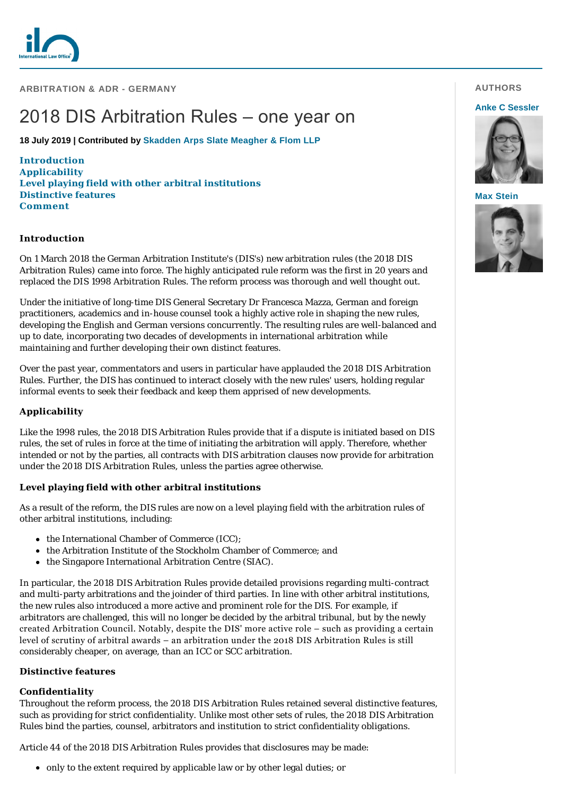

**ARBITRATION & ADR - GERMANY**

# 2018 DIS Arbitration Rules – one year on

**18 July 2019 | Contributed by [Skadden Arps Slate Meagher & Flom LLP](https://www.internationallawoffice.com/gesr.ashx?l=8GG3NZN)**

**[Introduct](#page-1-0)[ion](#page-0-0) [Applicability](#page-0-1) [Level playing field with other arbitral institutions](#page-0-2) [Distinctive features](#page-0-3) Comment**

### <span id="page-0-0"></span>**Introduction**

On 1 March 2018 the German Arbitration Institute's (DIS's) new arbitration rules (the 2018 DIS Arbitration Rules) came into force. The highly anticipated rule reform was the first in 20 years and replaced the DIS 1998 Arbitration Rules. The reform process was thorough and well thought out.

Under the initiative of long-time DIS General Secretary Dr Francesca Mazza, German and foreign practitioners, academics and in-house counsel took a highly active role in shaping the new rules, developing the English and German versions concurrently. The resulting rules are well-balanced and up to date, incorporating two decades of developments in international arbitration while maintaining and further developing their own distinct features.

Over the past year, commentators and users in particular have applauded the 2018 DIS Arbitration Rules. Further, the DIS has continued to interact closely with the new rules' users, holding regular informal events to seek their feedback and keep them apprised of new developments.

# <span id="page-0-1"></span>**Applicability**

Like the 1998 rules, the 2018 DIS Arbitration Rules provide that if a dispute is initiated based on DIS rules, the set of rules in force at the time of initiating the arbitration will apply. Therefore, whether intended or not by the parties, all contracts with DIS arbitration clauses now provide for arbitration under the 2018 DIS Arbitration Rules, unless the parties agree otherwise.

#### <span id="page-0-2"></span>**Level playing field with other arbitral institutions**

As a result of the reform, the DIS rules are now on a level playing field with the arbitration rules of other arbitral institutions, including:

- the International Chamber of Commerce (ICC);
- the Arbitration Institute of the Stockholm Chamber of Commerce; and
- the Singapore International Arbitration Centre (SIAC).

In particular, the 2018 DIS Arbitration Rules provide detailed provisions regarding multi-contract and multi-party arbitrations and the joinder of third parties. In line with other arbitral institutions, the new rules also introduced a more active and prominent role for the DIS. For example, if arbitrators are challenged, this will no longer be decided by the arbitral tribunal, but by the newly created Arbitration Council. Notably, despite the DIS' more active role – such as providing a certain level of scrutiny of arbitral awards – an arbitration under the 2018 DIS Arbitration Rules is still considerably cheaper, on average, than an ICC or SCC arbitration.

#### <span id="page-0-3"></span>**Distinctive features**

#### *Confidentiality*

Throughout the reform process, the 2018 DIS Arbitration Rules retained several distinctive features, such as providing for strict confidentiality. Unlike most other sets of rules, the 2018 DIS Arbitration Rules bind the parties, counsel, arbitrators and institution to strict confidentiality obligations.

Article 44 of the 2018 DIS Arbitration Rules provides that disclosures may be made:

only to the extent required by applicable law or by other legal duties; or

## **AUTHORS**

#### **[Anke C Sessler](https://www.internationallawoffice.com/gesr.ashx?l=8GG3P0M)**



#### **[Max Stein](https://www.internationallawoffice.com/gesr.ashx?l=8GG3P0Q)**

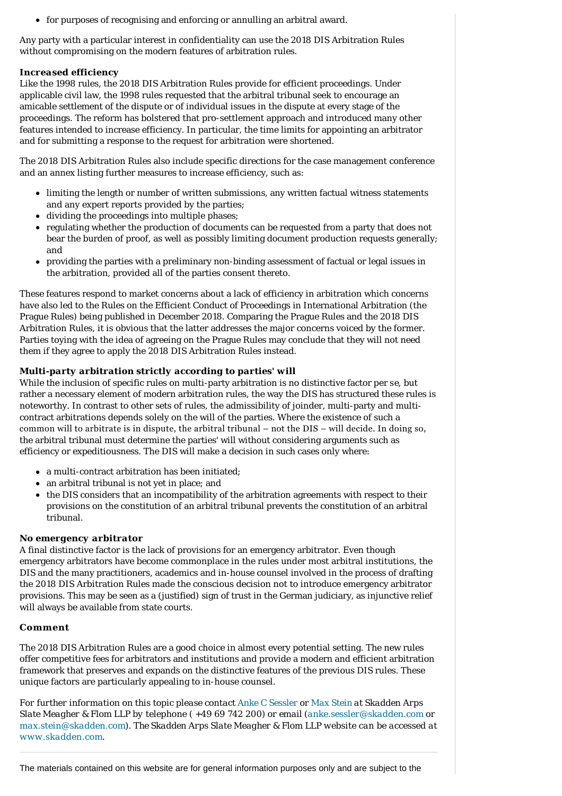for purposes of recognising and enforcing or annulling an arbitral award.

Any party with a particular interest in confidentiality can use the 2018 DIS Arbitration Rules without compromising on the modern features of arbitration rules.

# *Increased efficiency*

Like the 1998 rules, the 2018 DIS Arbitration Rules provide for efficient proceedings. Under applicable civil law, the 1998 rules requested that the arbitral tribunal seek to encourage an amicable settlement of the dispute or of individual issues in the dispute at every stage of the proceedings. The reform has bolstered that pro-settlement approach and introduced many other features intended to increase efficiency. In particular, the time limits for appointing an arbitrator and for submitting a response to the request for arbitration were shortened.

The 2018 DIS Arbitration Rules also include specific directions for the case management conference and an annex listing further measures to increase efficiency, such as:

- limiting the length or number of written submissions, any written factual witness statements and any expert reports provided by the parties;
- dividing the proceedings into multiple phases;
- regulating whether the production of documents can be requested from a party that does not bear the burden of proof, as well as possibly limiting document production requests generally; and
- providing the parties with a preliminary non-binding assessment of factual or legal issues in the arbitration, provided all of the parties consent thereto.

These features respond to market concerns about a lack of efficiency in arbitration which concerns have also led to the Rules on the Efficient Conduct of Proceedings in International Arbitration (the Prague Rules) being published in December 2018. Comparing the Prague Rules and the 2018 DIS Arbitration Rules, it is obvious that the latter addresses the major concerns voiced by the former. Parties toying with the idea of agreeing on the Prague Rules may conclude that they will not need them if they agree to apply the 2018 DIS Arbitration Rules instead.

# *Multi-party arbitration strictly according to parties' will*

While the inclusion of specific rules on multi-party arbitration is no distinctive factor *per se*, but rather a necessary element of modern arbitration rules, the way the DIS has structured these rules is noteworthy. In contrast to other sets of rules, the admissibility of joinder, multi-party and multicontract arbitrations depends solely on the will of the parties. Where the existence of such a common will to arbitrate is in dispute, the arbitral tribunal – not the DIS – will decide. In doing so, the arbitral tribunal must determine the parties' will without considering arguments such as efficiency or expeditiousness. The DIS will make a decision in such cases only where:

- a multi-contract arbitration has been initiated;
- an arbitral tribunal is not yet in place; and
- the DIS considers that an incompatibility of the arbitration agreements with respect to their provisions on the constitution of an arbitral tribunal prevents the constitution of an arbitral tribunal.

#### *No emergency arbitrator*

A final distinctive factor is the lack of provisions for an emergency arbitrator. Even though emergency arbitrators have become commonplace in the rules under most arbitral institutions, the DIS and the many practitioners, academics and in-house counsel involved in the process of drafting the 2018 DIS Arbitration Rules made the conscious decision not to introduce emergency arbitrator provisions. This may be seen as a (justified) sign of trust in the German judiciary, as injunctive relief will always be available from state courts.

#### <span id="page-1-0"></span>**Comment**

The 2018 DIS Arbitration Rules are a good choice in almost every potential setting. The new rules offer competitive fees for arbitrators and institutions and provide a modern and efficient arbitration framework that preserves and expands on the distinctive features of the previous DIS rules. These unique factors are particularly appealing to in-house counsel.

*For further information on this topic please contact [Anke C Sessler](https://www.internationallawoffice.com/gesr.ashx?l=8GG3NZU) or [Max Stein](https://www.internationallawoffice.com/gesr.ashx?l=8GG3P00) at Skadden Arps Slate Meagher & Flom LLP by telephone ( +49 69 742 200) or email ([anke.sessler@skadden.com](mailto:anke.sessler@skadden.com) or [max.stein@skadden.com\)](mailto:max.stein@skadden.com). The Skadden Arps Slate Meagher & Flom LLP website can be accessed at [www.skadden.com](https://www.internationallawoffice.com/gesr.ashx?l=8GG3P06).*